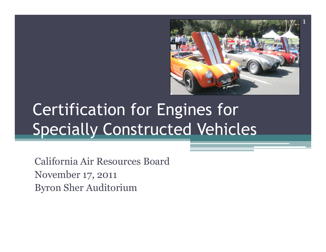

### Certification for Engines for Specially Constructed Vehicles

California Air Resources BoardNovember 17, 2011Byron Sher Auditorium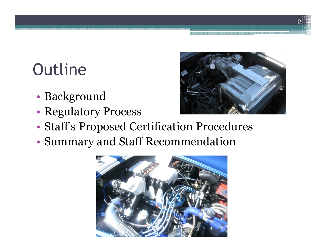## **Outline**

- •Background
- •Regulatory Process



- •Staff's Proposed Certification Procedures
- •Summary and Staff Recommendation

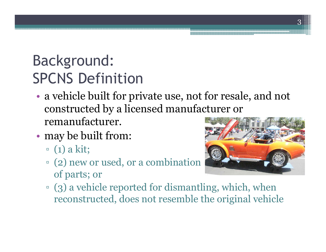#### Background: SPCNS Definition

- • a vehicle built for private use, not for resale, and not constructed by a licensed manufacturer or remanufacturer.
- • may be built from:
	- $\begin{align} \n\begin{array}{c} \n\cdot & (1) \text{ a kit;} \n\end{array} \n\end{align}$
	- □ (2) new or used, or a combination<br>of parts: or of parts; or



**E** (3) a vehicle reported for dismantling, which, when<br>reconstructed, does not resemble the original vehicl reconstructed, does not resemble the original vehicle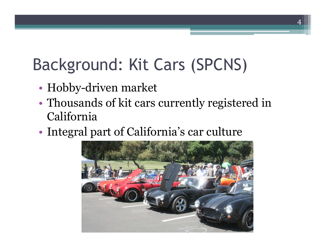## Background: Kit Cars (SPCNS)

- •Hobby-driven market
- • Thousands of kit cars currently registered in California
- •Integral part of California's car culture

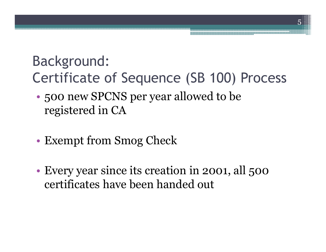#### Background:Certificate of Sequence (SB 100) Process

- • 500 new SPCNS per year allowed to be registered in CA
- •Exempt from Smog Check
- • Every year since its creation in 2001, all 500 certificates have been handed out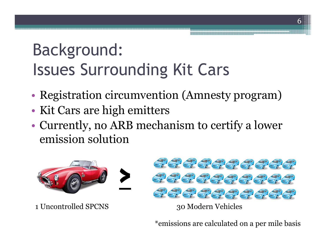### Background:Issues Surrounding Kit Cars

- •Registration circumvention (Amnesty program)
- •Kit Cars are high emitters
- • Currently, no ARB mechanism to certify a lower emission solution



1 Uncontrolled SPCNS 30 Modern Vehicles



\*emissions are calculated on a per mile basis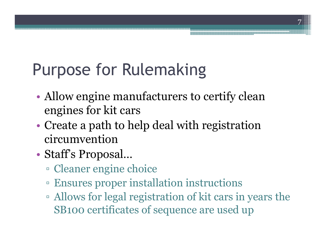## Purpose for Rulemaking

• Allow engine manufacturers to certify clean engines for kit cars

7

- • Create a path to help deal with registration circumvention
- • Staff's Proposal…
	- $\Box$   $\Box$  במורס מפח הפר $\Box$ Cleaner engine choice
	- ▫Ensures proper installation instructions
	- ▫Allows for legal registration of kit cars in years the<br>SR100 certificates of sequence are used up SB100 certificates of sequence are used up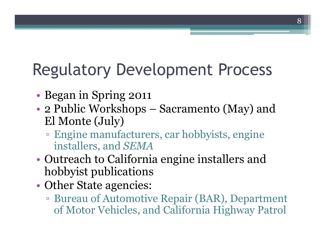## Regulatory Development Process

- •Began in Spring 2011
- •• 2 Public Workshops – Sacramento (May) and<br>El Monte (July) El Monte (July)
	- ▫Engine manufacturers, car hobbyists, engine<br>installers, and SEMA installers, and *SEMA*
- $\bullet$  ( ) $\sf{l}$  ) $\sf{l}$  the school to ( )support ( Outreach to California engine installers and hobbyist publications
- • Other State agencies:
	- ▫Bureau of Automotive Repair (BAR), Department<br>of Motor Vehicles, and California Highway Patrol of Motor Vehicles, and California Highway Patrol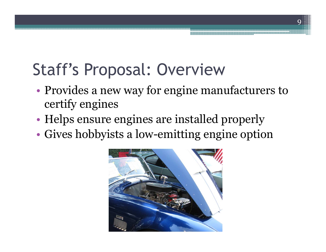## Staff's Proposal: Overview

 $\bullet$  Provides a new way tor engine ma Provides a new way for engine manufacturers to certify engines

9

- •Helps ensure engines are installed properly
- •Gives hobbyists a low-emitting engine option

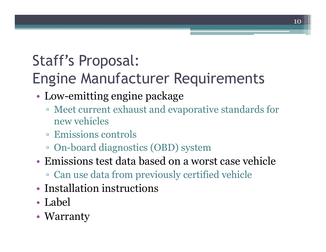#### Staff's Proposal: Engine Manufacturer Requirements

- • Low-emitting engine package
	- **Example 1** Meet current exhaust and evaporative standards for new vehicles new vehicles
	- **Emissions controls**<br>E. On beard diagnosti
	- □ On-board diagnostics (OBD) system<br>Emissions test date based on a wore
- • Emissions test data based on a worst case vehicle
	- □ Can use data from previously certified vehicle<br>[petelletion instructions
- •• Installation instructions
- •• Label
- Warranty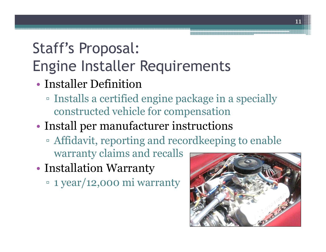#### Staff's Proposal: Engine Installer Requirements

- • Installer Definition
	- ¤ Installs a certified Installs a certified engine package in a specially constructed vehicle for compensation

#### •Install per manufacturer instructions

- ▫Affidavit, reporting and recordkeeping to enable<br>warranty claims and recalls warranty claims and recalls
- • Installation Warranty
	- 1 year/12,000 mi warranty

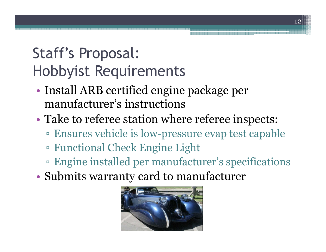#### Staff's Proposal:Hobbyist Requirements

- • Install ARB certified engine package per manufacturer's instructions
- • Take to referee station where referee inspects:
	- ▫Ensures vehicle is low-pressure evap test capable<br>Functional Chook Engine Light
	- ▫Functional Check Engine Light
	- ▫Engine installed per manufacturer's specifications<br>when its werenty send to menufacturer.
- •Submits warranty card to manufacturer

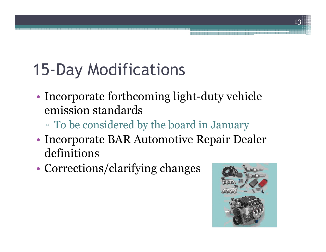# 15-Day Modifications

- • Incorporate forthcoming light-duty vehicle emission standards
	- ▫To be considered by the board in January<br>convents  $\overline{P} \wedge \overline{P}$  Autemative Pensir Des
- • Incorporate BAR Automotive Repair Dealer definitions
- •Corrections/clarifying changes